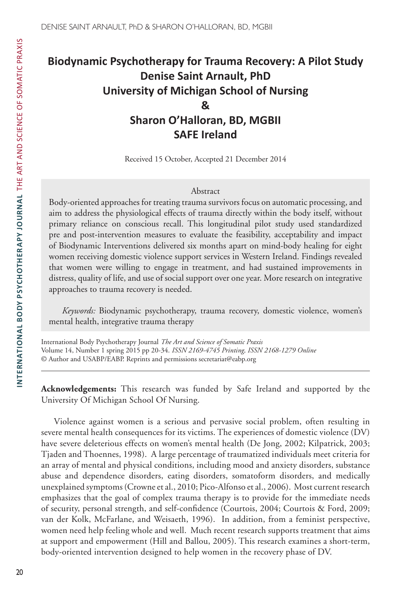# **Biodynamic Psychotherapy for Trauma Recovery: A Pilot Study Denise Saint Arnault, PhD University of Michigan School of Nursing & Sharon O'Halloran, BD, MGBII SAFE Ireland**

Received 15 October, Accepted 21 December 2014

#### Abstract

Body-oriented approaches for treating trauma survivors focus on automatic processing, and aim to address the physiological effects of trauma directly within the body itself, without primary reliance on conscious recall. This longitudinal pilot study used standardized pre and post-intervention measures to evaluate the feasibility, acceptability and impact of Biodynamic Interventions delivered six months apart on mind-body healing for eight women receiving domestic violence support services in Western Ireland. Findings revealed that women were willing to engage in treatment, and had sustained improvements in distress, quality of life, and use of social support over one year. More research on integrative approaches to trauma recovery is needed.

*Keywords:* Biodynamic psychotherapy, trauma recovery, domestic violence, women's mental health, integrative trauma therapy

International Body Psychotherapy Journal *The Art and Science of Somatic Praxis* Volume 14, Number 1 spring 2015 pp 20-34. *ISSN 2169-4745 Printing, ISSN 2168-1279 Online* © Author and USABP/EABP. Reprints and permissions secretariat@eabp.org

**Acknowledgements:** This research was funded by Safe Ireland and supported by the University Of Michigan School Of Nursing.

Violence against women is a serious and pervasive social problem, often resulting in severe mental health consequences for its victims. The experiences of domestic violence (DV) have severe deleterious effects on women's mental health (De Jong, 2002; Kilpatrick, 2003; Tjaden and Thoennes, 1998). A large percentage of traumatized individuals meet criteria for an array of mental and physical conditions, including mood and anxiety disorders, substance abuse and dependence disorders, eating disorders, somatoform disorders, and medically unexplained symptoms (Crowne et al., 2010; Pico-Alfonso et al., 2006). Most current research emphasizes that the goal of complex trauma therapy is to provide for the immediate needs of security, personal strength, and self-confidence (Courtois, 2004; Courtois & Ford, 2009; van der Kolk, McFarlane, and Weisaeth, 1996). In addition, from a feminist perspective, women need help feeling whole and well. Much recent research supports treatment that aims at support and empowerment (Hill and Ballou, 2005). This research examines a short-term, body-oriented intervention designed to help women in the recovery phase of DV.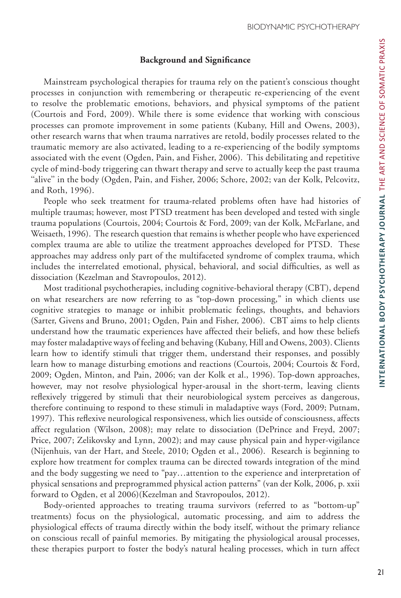# **Background and Significance**

Mainstream psychological therapies for trauma rely on the patient's conscious thought processes in conjunction with remembering or therapeutic re-experiencing of the event to resolve the problematic emotions, behaviors, and physical symptoms of the patient (Courtois and Ford, 2009). While there is some evidence that working with conscious processes can promote improvement in some patients (Kubany, Hill and Owens, 2003), other research warns that when trauma narratives are retold, bodily processes related to the traumatic memory are also activated, leading to a re-experiencing of the bodily symptoms associated with the event (Ogden, Pain, and Fisher, 2006). This debilitating and repetitive cycle of mind-body triggering can thwart therapy and serve to actually keep the past trauma ''alive'' in the body (Ogden, Pain, and Fisher, 2006; Schore, 2002; van der Kolk, Pelcovitz, and Roth, 1996).

People who seek treatment for trauma-related problems often have had histories of multiple traumas; however, most PTSD treatment has been developed and tested with single trauma populations (Courtois, 2004; Courtois & Ford, 2009; van der Kolk, McFarlane, and Weisaeth, 1996). The research question that remains is whether people who have experienced complex trauma are able to utilize the treatment approaches developed for PTSD. These approaches may address only part of the multifaceted syndrome of complex trauma, which includes the interrelated emotional, physical, behavioral, and social difficulties, as well as dissociation (Kezelman and Stavropoulos, 2012).

Most traditional psychotherapies, including cognitive-behavioral therapy (CBT), depend on what researchers are now referring to as "top-down processing," in which clients use cognitive strategies to manage or inhibit problematic feelings, thoughts, and behaviors (Sarter, Givens and Bruno, 2001; Ogden, Pain and Fisher, 2006). CBT aims to help clients understand how the traumatic experiences have affected their beliefs, and how these beliefs may foster maladaptive ways of feeling and behaving (Kubany, Hill and Owens, 2003). Clients learn how to identify stimuli that trigger them, understand their responses, and possibly learn how to manage disturbing emotions and reactions (Courtois, 2004; Courtois & Ford, 2009; Ogden, Minton, and Pain, 2006; van der Kolk et al., 1996). Top-down approaches, however, may not resolve physiological hyper-arousal in the short-term, leaving clients reflexively triggered by stimuli that their neurobiological system perceives as dangerous, therefore continuing to respond to these stimuli in maladaptive ways (Ford, 2009; Putnam, 1997). This reflexive neurological responsiveness, which lies outside of consciousness, affects affect regulation (Wilson, 2008); may relate to dissociation (DePrince and Freyd, 2007; Price, 2007; Zelikovsky and Lynn, 2002); and may cause physical pain and hyper-vigilance (Nijenhuis, van der Hart, and Steele, 2010; Ogden et al., 2006). Research is beginning to explore how treatment for complex trauma can be directed towards integration of the mind and the body suggesting we need to "pay…attention to the experience and interpretation of physical sensations and preprogrammed physical action patterns" (van der Kolk, 2006, p. xxii forward to Ogden, et al 2006)(Kezelman and Stavropoulos, 2012).

Body-oriented approaches to treating trauma survivors (referred to as "bottom-up" treatments) focus on the physiological, automatic processing, and aim to address the physiological effects of trauma directly within the body itself, without the primary reliance on conscious recall of painful memories. By mitigating the physiological arousal processes, these therapies purport to foster the body's natural healing processes, which in turn affect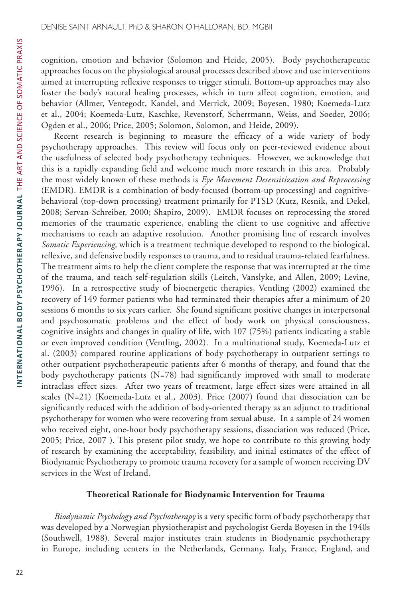cognition, emotion and behavior (Solomon and Heide, 2005). Body psychotherapeutic approaches focus on the physiological arousal processes described above and use interventions aimed at interrupting reflexive responses to trigger stimuli. Bottom-up approaches may also foster the body's natural healing processes, which in turn affect cognition, emotion, and behavior (Allmer, Ventegodt, Kandel, and Merrick, 2009; Boyesen, 1980; Koemeda-Lutz et al., 2004; Koemeda-Lutz, Kaschke, Revenstorf, Scherrmann, Weiss, and Soeder, 2006; Ogden et al., 2006; Price, 2005; Solomon, Solomon, and Heide, 2009).

Recent research is beginning to measure the efficacy of a wide variety of body psychotherapy approaches. This review will focus only on peer-reviewed evidence about the usefulness of selected body psychotherapy techniques. However, we acknowledge that this is a rapidly expanding field and welcome much more research in this area. Probably the most widely known of these methods is *Eye Movement Desensitization and Reprocessing*  (EMDR). EMDR is a combination of body-focused (bottom-up processing) and cognitivebehavioral (top-down processing) treatment primarily for PTSD (Kutz, Resnik, and Dekel, 2008; Servan-Schreiber, 2000; Shapiro, 2009). EMDR focuses on reprocessing the stored memories of the traumatic experience, enabling the client to use cognitive and affective mechanisms to reach an adaptive resolution. Another promising line of research involves *Somatic Experiencing,* which is a treatment technique developed to respond to the biological, reflexive, and defensive bodily responses to trauma, and to residual trauma-related fearfulness. The treatment aims to help the client complete the response that was interrupted at the time of the trauma, and teach self-regulation skills (Leitch, Vanslyke, and Allen, 2009; Levine, 1996). In a retrospective study of bioenergetic therapies, Ventling (2002) examined the recovery of 149 former patients who had terminated their therapies after a minimum of 20 sessions 6 months to six years earlier. She found significant positive changes in interpersonal and psychosomatic problems and the effect of body work on physical consciousness, cognitive insights and changes in quality of life, with 107 (75%) patients indicating a stable or even improved condition (Ventling, 2002). In a multinational study, Koemeda-Lutz et al. (2003) compared routine applications of body psychotherapy in outpatient settings to other outpatient psychotherapeutic patients after 6 months of therapy, and found that the body psychotherapy patients (N=78) had significantly improved with small to moderate intraclass effect sizes. After two years of treatment, large effect sizes were attained in all scales (N=21) (Koemeda-Lutz et al., 2003). Price (2007) found that dissociation can be significantly reduced with the addition of body-oriented therapy as an adjunct to traditional psychotherapy for women who were recovering from sexual abuse. In a sample of 24 women who received eight, one-hour body psychotherapy sessions, dissociation was reduced (Price, 2005; Price, 2007 ). This present pilot study, we hope to contribute to this growing body of research by examining the acceptability, feasibility, and initial estimates of the effect of Biodynamic Psychotherapy to promote trauma recovery for a sample of women receiving DV services in the West of Ireland.

# **Theoretical Rationale for Biodynamic Intervention for Trauma**

*Biodynamic Psychology and Psychotherapy* is a very specific form of body psychotherapy that was developed by a Norwegian physiotherapist and psychologist Gerda Boyesen in the 1940s (Southwell, 1988). Several major institutes train students in Biodynamic psychotherapy in Europe, including centers in the Netherlands, Germany, Italy, France, England, and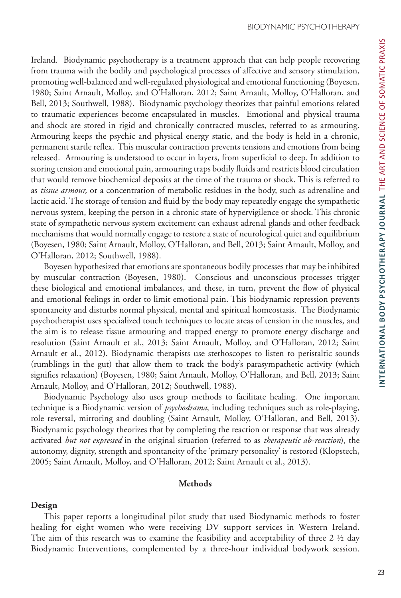Ireland. Biodynamic psychotherapy is a treatment approach that can help people recovering from trauma with the bodily and psychological processes of affective and sensory stimulation, promoting well-balanced and well-regulated physiological and emotional functioning (Boyesen, 1980; Saint Arnault, Molloy, and O'Halloran, 2012; Saint Arnault, Molloy, O'Halloran, and Bell, 2013; Southwell, 1988). Biodynamic psychology theorizes that painful emotions related to traumatic experiences become encapsulated in muscles. Emotional and physical trauma and shock are stored in rigid and chronically contracted muscles, referred to as armouring. Armouring keeps the psychic and physical energy static, and the body is held in a chronic, permanent startle reflex. This muscular contraction prevents tensions and emotions from being released. Armouring is understood to occur in layers, from superficial to deep. In addition to storing tension and emotional pain, armouring traps bodily fluids and restricts blood circulation that would remove biochemical deposits at the time of the trauma or shock. This is referred to as *tissue armour,* or a concentration of metabolic residues in the body, such as adrenaline and lactic acid. The storage of tension and fluid by the body may repeatedly engage the sympathetic nervous system, keeping the person in a chronic state of hypervigilence or shock. This chronic state of sympathetic nervous system excitement can exhaust adrenal glands and other feedback mechanisms that would normally engage to restore a state of neurological quiet and equilibrium (Boyesen, 1980; Saint Arnault, Molloy, O'Halloran, and Bell, 2013; Saint Arnault, Molloy, and O'Halloran, 2012; Southwell, 1988).

Boyesen hypothesized that emotions are spontaneous bodily processes that may be inhibited by muscular contraction (Boyesen, 1980). Conscious and unconscious processes trigger these biological and emotional imbalances, and these, in turn, prevent the flow of physical and emotional feelings in order to limit emotional pain. This biodynamic repression prevents spontaneity and disturbs normal physical, mental and spiritual homeostasis. The Biodynamic psychotherapist uses specialized touch techniques to locate areas of tension in the muscles, and the aim is to release tissue armouring and trapped energy to promote energy discharge and resolution (Saint Arnault et al., 2013; Saint Arnault, Molloy, and O'Halloran, 2012; Saint Arnault et al., 2012). Biodynamic therapists use stethoscopes to listen to peristaltic sounds (rumblings in the gut) that allow them to track the body's parasympathetic activity (which signifies relaxation) (Boyesen, 1980; Saint Arnault, Molloy, O'Halloran, and Bell, 2013; Saint Arnault, Molloy, and O'Halloran, 2012; Southwell, 1988).

Biodynamic Psychology also uses group methods to facilitate healing. One important technique is a Biodynamic version of *psychodrama*, including techniques such as role-playing, role reversal, mirroring and doubling (Saint Arnault, Molloy, O'Halloran, and Bell, 2013). Biodynamic psychology theorizes that by completing the reaction or response that was already activated *but not expressed* in the original situation (referred to as *therapeutic ab-reaction*), the autonomy, dignity, strength and spontaneity of the 'primary personality' is restored (Klopstech, 2005; Saint Arnault, Molloy, and O'Halloran, 2012; Saint Arnault et al., 2013).

## **Methods**

#### **Design**

This paper reports a longitudinal pilot study that used Biodynamic methods to foster healing for eight women who were receiving DV support services in Western Ireland. The aim of this research was to examine the feasibility and acceptability of three 2  $\frac{1}{2}$  day Biodynamic Interventions, complemented by a three-hour individual bodywork session.

NTERNATIONAL BODY PSYCHOTHERAPY JOURNAL THE ART AND SCIENCE OF SOMATIC PRAXIS **INTERNATIONAL BODY PSYCHOTHERAPY JOURNAL** THE ART AND SCIENCE OF SOMATIC PRAXIS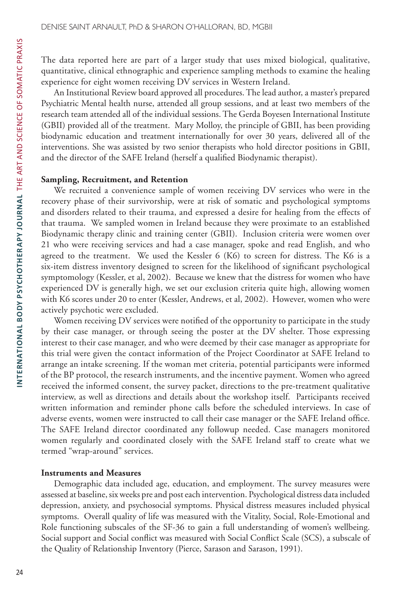The data reported here are part of a larger study that uses mixed biological, qualitative, quantitative, clinical ethnographic and experience sampling methods to examine the healing experience for eight women receiving DV services in Western Ireland.

An Institutional Review board approved all procedures. The lead author, a master's prepared Psychiatric Mental health nurse, attended all group sessions, and at least two members of the research team attended all of the individual sessions. The Gerda Boyesen International Institute (GBII) provided all of the treatment. Mary Molloy, the principle of GBII, has been providing biodynamic education and treatment internationally for over 30 years, delivered all of the interventions. She was assisted by two senior therapists who hold director positions in GBII, and the director of the SAFE Ireland (herself a qualified Biodynamic therapist).

## **Sampling, Recruitment, and Retention**

We recruited a convenience sample of women receiving DV services who were in the recovery phase of their survivorship, were at risk of somatic and psychological symptoms and disorders related to their trauma, and expressed a desire for healing from the effects of that trauma. We sampled women in Ireland because they were proximate to an established Biodynamic therapy clinic and training center (GBII). Inclusion criteria were women over 21 who were receiving services and had a case manager, spoke and read English, and who agreed to the treatment. We used the Kessler 6 (K6) to screen for distress. The K6 is a six-item distress inventory designed to screen for the likelihood of significant psychological symptomology (Kessler, et al, 2002). Because we knew that the distress for women who have experienced DV is generally high, we set our exclusion criteria quite high, allowing women with K6 scores under 20 to enter (Kessler, Andrews, et al, 2002). However, women who were actively psychotic were excluded.

Women receiving DV services were notified of the opportunity to participate in the study by their case manager, or through seeing the poster at the DV shelter. Those expressing interest to their case manager, and who were deemed by their case manager as appropriate for this trial were given the contact information of the Project Coordinator at SAFE Ireland to arrange an intake screening. If the woman met criteria, potential participants were informed of the BP protocol, the research instruments, and the incentive payment. Women who agreed received the informed consent, the survey packet, directions to the pre-treatment qualitative interview, as well as directions and details about the workshop itself. Participants received written information and reminder phone calls before the scheduled interviews. In case of adverse events, women were instructed to call their case manager or the SAFE Ireland office. The SAFE Ireland director coordinated any followup needed. Case managers monitored women regularly and coordinated closely with the SAFE Ireland staff to create what we termed "wrap-around" services.

#### **Instruments and Measures**

Demographic data included age, education, and employment. The survey measures were assessed at baseline, six weeks pre and post each intervention. Psychological distress data included depression, anxiety, and psychosocial symptoms. Physical distress measures included physical symptoms. Overall quality of life was measured with the Vitality, Social, Role-Emotional and Role functioning subscales of the SF-36 to gain a full understanding of women's wellbeing. Social support and Social conflict was measured with Social Conflict Scale (SCS), a subscale of the Quality of Relationship Inventory (Pierce, Sarason and Sarason, 1991).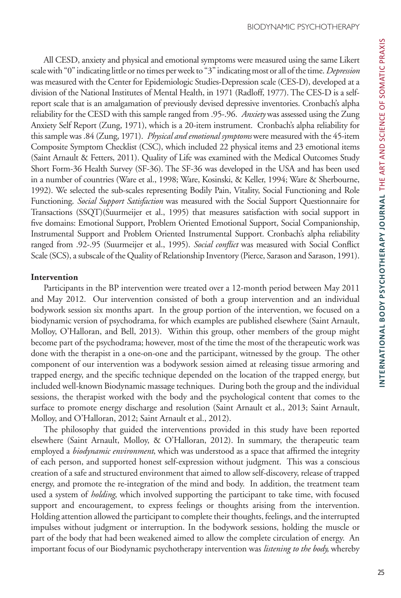All CESD, anxiety and physical and emotional symptoms were measured using the same Likert scale with "0" indicating little or no times per week to "3" indicating most or all of the time. *Depression* was measured with the Center for Epidemiologic Studies-Depression scale (CES-D), developed at a division of the National Institutes of Mental Health, in 1971 (Radloff, 1977). The CES-D is a selfreport scale that is an amalgamation of previously devised depressive inventories. Cronbach's alpha reliability for the CESD with this sample ranged from .95-.96. *Anxiety* was assessed using the Zung Anxiety Self Report (Zung, 1971), which is a 20-item instrument. Cronbach's alpha reliability for this sample was .84 (Zung, 1971). *Physical and emotional symptoms* were measured with the 45-item Composite Symptom Checklist (CSC), which included 22 physical items and 23 emotional items (Saint Arnault & Fetters, 2011). Quality of Life was examined with the Medical Outcomes Study Short Form-36 Health Survey (SF-36). The SF-36 was developed in the USA and has been used in a number of countries (Ware et al., 1998; Ware, Kosinski, & Keller, 1994; Ware & Sherbourne, 1992). We selected the sub-scales representing Bodily Pain, Vitality, Social Functioning and Role Functioning. *Social Support Satisfaction* was measured with the Social Support Questionnaire for Transactions (SSQT)(Suurmeijer et al., 1995) that measures satisfaction with social support in five domains: Emotional Support, Problem Oriented Emotional Support, Social Companionship, Instrumental Support and Problem Oriented Instrumental Support. Cronbach's alpha reliability ranged from .92-.95 (Suurmeijer et al., 1995). *Social conflict* was measured with Social Conflict Scale (SCS), a subscale of the Quality of Relationship Inventory (Pierce, Sarason and Sarason, 1991).

## **Intervention**

Participants in the BP intervention were treated over a 12-month period between May 2011 and May 2012. Our intervention consisted of both a group intervention and an individual bodywork session six months apart. In the group portion of the intervention, we focused on a biodynamic version of psychodrama, for which examples are published elsewhere (Saint Arnault, Molloy, O'Halloran, and Bell, 2013). Within this group, other members of the group might become part of the psychodrama; however, most of the time the most of the therapeutic work was done with the therapist in a one-on-one and the participant, witnessed by the group. The other component of our intervention was a bodywork session aimed at releasing tissue armoring and trapped energy, and the specific technique depended on the location of the trapped energy, but included well-known Biodynamic massage techniques. During both the group and the individual sessions, the therapist worked with the body and the psychological content that comes to the surface to promote energy discharge and resolution (Saint Arnault et al., 2013; Saint Arnault, Molloy, and O'Halloran, 2012; Saint Arnault et al., 2012).

The philosophy that guided the interventions provided in this study have been reported elsewhere (Saint Arnault, Molloy, & O'Halloran, 2012). In summary, the therapeutic team employed a *biodynamic environment*, which was understood as a space that affirmed the integrity of each person, and supported honest self-expression without judgment. This was a conscious creation of a safe and structured environment that aimed to allow self-discovery, release of trapped energy, and promote the re-integration of the mind and body. In addition, the treatment team used a system of *holding*, which involved supporting the participant to take time, with focused support and encouragement, to express feelings or thoughts arising from the intervention. Holding attention allowed the participant to complete their thoughts, feelings, and the interrupted impulses without judgment or interruption. In the bodywork sessions, holding the muscle or part of the body that had been weakened aimed to allow the complete circulation of energy. An important focus of our Biodynamic psychotherapy intervention was *listening to the body,* whereby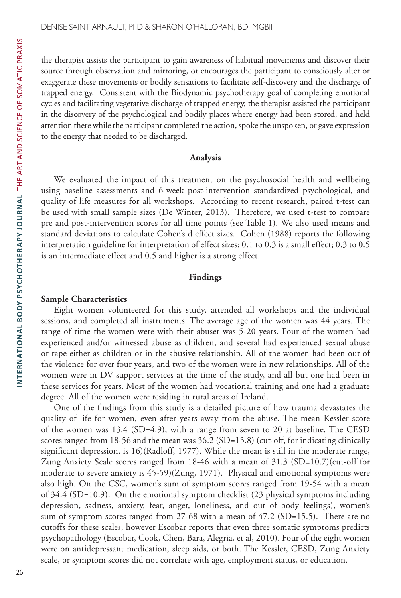the therapist assists the participant to gain awareness of habitual movements and discover their source through observation and mirroring, or encourages the participant to consciously alter or exaggerate these movements or bodily sensations to facilitate self-discovery and the discharge of trapped energy. Consistent with the Biodynamic psychotherapy goal of completing emotional cycles and facilitating vegetative discharge of trapped energy, the therapist assisted the participant in the discovery of the psychological and bodily places where energy had been stored, and held attention there while the participant completed the action, spoke the unspoken, or gave expression to the energy that needed to be discharged.

#### **Analysis**

We evaluated the impact of this treatment on the psychosocial health and wellbeing using baseline assessments and 6-week post-intervention standardized psychological, and quality of life measures for all workshops. According to recent research, paired t-test can be used with small sample sizes (De Winter, 2013). Therefore, we used t-test to compare pre and post-intervention scores for all time points (see Table 1). We also used means and standard deviations to calculate Cohen's d effect sizes. Cohen (1988) reports the following interpretation guideline for interpretation of effect sizes: 0.1 to 0.3 is a small effect; 0.3 to 0.5 is an intermediate effect and 0.5 and higher is a strong effect.

## **Findings**

#### **Sample Characteristics**

Eight women volunteered for this study, attended all workshops and the individual sessions, and completed all instruments. The average age of the women was 44 years. The range of time the women were with their abuser was 5-20 years. Four of the women had experienced and/or witnessed abuse as children, and several had experienced sexual abuse or rape either as children or in the abusive relationship. All of the women had been out of the violence for over four years, and two of the women were in new relationships. All of the women were in DV support services at the time of the study, and all but one had been in these services for years. Most of the women had vocational training and one had a graduate degree. All of the women were residing in rural areas of Ireland.

One of the findings from this study is a detailed picture of how trauma devastates the quality of life for women, even after years away from the abuse. The mean Kessler score of the women was 13.4 (SD=4.9), with a range from seven to 20 at baseline. The CESD scores ranged from 18-56 and the mean was 36.2 (SD=13.8) (cut-off, for indicating clinically significant depression, is 16)(Radloff, 1977). While the mean is still in the moderate range, Zung Anxiety Scale scores ranged from 18-46 with a mean of 31.3 (SD=10.7)(cut-off for moderate to severe anxiety is 45-59)(Zung, 1971). Physical and emotional symptoms were also high. On the CSC, women's sum of symptom scores ranged from 19-54 with a mean of  $34.4$  (SD=10.9). On the emotional symptom checklist  $(23)$  physical symptoms including depression, sadness, anxiety, fear, anger, loneliness, and out of body feelings), women's sum of symptom scores ranged from 27-68 with a mean of  $47.2$  (SD=15.5). There are no cutoffs for these scales, however Escobar reports that even three somatic symptoms predicts psychopathology (Escobar, Cook, Chen, Bara, Alegria, et al, 2010). Four of the eight women were on antidepressant medication, sleep aids, or both. The Kessler, CESD, Zung Anxiety scale, or symptom scores did not correlate with age, employment status, or education.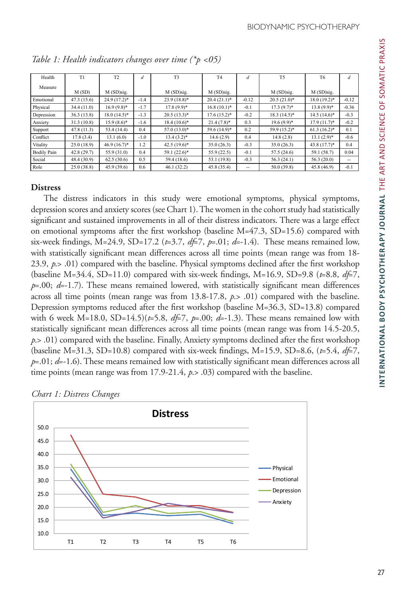| Health             | T1          | T <sub>2</sub>  | d      | T <sub>3</sub> | <b>T4</b>     | d       | T <sub>5</sub>  | T <sub>6</sub>  | d       |
|--------------------|-------------|-----------------|--------|----------------|---------------|---------|-----------------|-----------------|---------|
| Measure            |             |                 |        |                |               |         |                 |                 |         |
|                    | M(SD)       | M (SD)sig.      |        | M (SD)sig.     | M (SD)sig.    |         | M (SD)sig.      | M (SD)sig.      |         |
| Emotional          | 47.3(15.6)  | $24.9(17.2)^*$  | $-1.4$ | $23.9(18.8)*$  | $20.4(21.1)*$ | $-0.12$ | $20.5(21.0)^*$  | $18.0(19.2)$ *  | $-0.12$ |
| Physical           | 34.4(11.0)  | $16.9(9.8)$ *   | $-1.7$ | $17.8(9.9)*$   | $16.8(10.1)*$ | $-0.1$  | $17.3(9.7)^*$   | $13.8(9.9)*$    | $-0.36$ |
| Depression         | 36.3(13.8)  | $18.0 (14.5)^*$ | $-1.3$ | $20.5(13.3)*$  | $17.6(15.2)*$ | $-0.2$  | $18.3 (14.5)^*$ | $14.5(14.6)^*$  | $-0.3$  |
| Anxiety            | 31.3(10.8)  | $15.9(8.6)$ *   | $-1.6$ | $18.4(10.6)*$  | $21.4(7.8)$ * | 0.3     | $19.6(9.9)^*$   | $17.9(11.7)^*$  | $-0.2$  |
| Support            | 47.8(11.3)  | 53.4 (14.4)     | 0.4    | $57.0(13.0)*$  | 59.6 (14.9)*  | 0.2     | 59.9 (15.2)*    | $61.3 (16.2)^*$ | 0.1     |
| Conflict           | 17.8(3.4)   | 13.1(6.0)       | $-1.0$ | $13.4(3.2)*$   | 14.6(2.9)     | 0.4     | 14.8(2.8)       | $13.1(2.9)*$    | $-0.6$  |
| Vitality           | 25.0(18.9)  | $46.9(16.7)^*$  | 1.2    | $42.5(19.6)^*$ | 35.0(26.3)    | $-0.3$  | 35.0(26.3)      | $43.8(17.7)^*$  | 0.4     |
| <b>Bodily Pain</b> | 42.8(29.7)  | 55.9 (31.0)     | 0.4    | $59.1(22.6)^*$ | 55.9(22.5)    | $-0.1$  | 57.5(24.6)      | 59.1 (58.7)     | 0.04    |
| Social             | 48.4 (30.9) | 62.5(30.6)      | 0.5    | 59.4 (18.6)    | 53.1 (19.8)   | $-0.3$  | 56.3(24.1)      | 56.3(20.0)      | --      |
| Role               | 25.0(38.8)  | 45.9 (39.6)     | 0.6    | 46.1(32.2)     | 45.8 (35.4)   | --      | 50.0 (39.8)     | 45.8 (46.9)     | $-0.1$  |

*Table 1: Health indicators changes over time (\*p <05)*

# **Distress**

The distress indicators in this study were emotional symptoms, physical symptoms, depression scores and anxiety scores (see Chart 1). The women in the cohort study had statistically significant and sustained improvements in all of their distress indicators. There was a large effect on emotional symptoms after the first workshop (baseline  $M=47.3$ ,  $SD=15.6$ ) compared with six-week findings, M=24.9, SD=17.2 ( $t=3.7$ ,  $dt=7$ ,  $p=0.01$ ;  $d=-1.4$ ). These means remained low, with statistically significant mean differences across all time points (mean range was from 18- 23.9, *p*.> .01) compared with the baseline. Physical symptoms declined after the first workshop (baseline M=34.4, SD=11.0) compared with six-week findings, M=16.9, SD=9.8 (*t*=8.8, *df*=7, *p*=.00; *d*=-1.7). These means remained lowered, with statistically significant mean differences across all time points (mean range was from 13.8-17.8, *p*.> .01) compared with the baseline. Depression symptoms reduced after the first workshop (baseline M=36.3, SD=13.8) compared with 6 week M=18.0, SD=14.5)( $t=5.8$ ,  $dt=7$ ,  $p=.00$ ;  $d=-1.3$ ). These means remained low with statistically significant mean differences across all time points (mean range was from 14.5-20.5, *p*.> .01) compared with the baseline. Finally, Anxiety symptoms declined after the first workshop (baseline M=31.3, SD=10.8) compared with six-week findings, M=15.9, SD=8.6,  $(t=5.4, df=7,$ *p*=.01; *d*=-1.6). These means remained low with statistically significant mean differences across all time points (mean range was from 17.9-21.4, *p*.> .03) compared with the baseline.



*Chart 1: Distress Changes*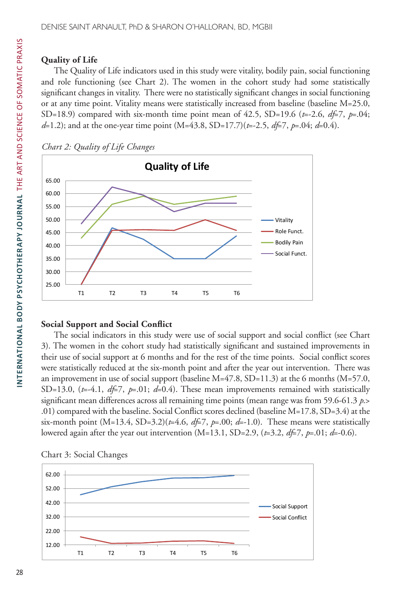# **Quality of Life**

The Quality of Life indicators used in this study were vitality, bodily pain, social functioning and role functioning (see Chart 2). The women in the cohort study had some statistically significant changes in vitality. There were no statistically significant changes in social functioning or at any time point. Vitality means were statistically increased from baseline (baseline M=25.0, SD=18.9) compared with six-month time point mean of 42.5, SD=19.6 ( $t=2.6$ ,  $d\neq 7$ ,  $p=.04$ ; *d*=1.2); and at the one-year time point (M=43.8, SD=17.7)(*t*=-2.5, *df*=7, *p*=.04; *d*=0.4).





# **Social Support and Social Conflict**

The social indicators in this study were use of social support and social conflict (see Chart 3). The women in the cohort study had statistically significant and sustained improvements in their use of social support at 6 months and for the rest of the time points. Social conflict scores were statistically reduced at the six-month point and after the year out intervention. There was an improvement in use of social support (baseline  $M=47.8$ ,  $SD=11.3$ ) at the 6 months ( $M=57.0$ , SD=13.0,  $(t=4.1, df=7, p=.01; d=0.4)$ . These mean improvements remained with statistically significant mean differences across all remaining time points (mean range was from 59.6-61.3 *p*.> .01) compared with the baseline. Social Conflict scores declined (baseline M=17.8, SD=3.4) at the six-month point (M=13.4, SD=3.2)(*t*=4.6, *df*=7, *p*=.00; *d*=-1.0). These means were statistically lowered again after the year out intervention (M=13.1, SD=2.9, (*t*=3.2, *df*=7, *p*=.01; *d*=-0.6).



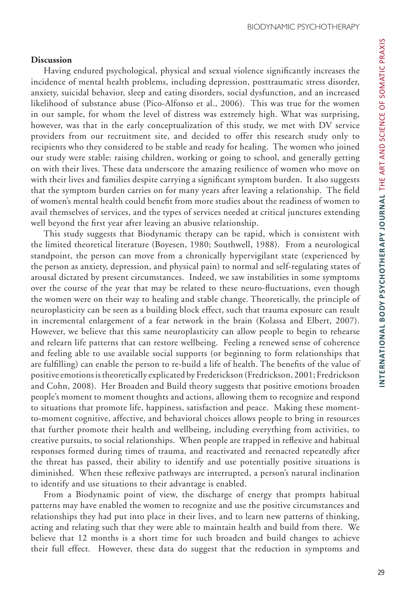#### **Discussion**

Having endured psychological, physical and sexual violence significantly increases the incidence of mental health problems, including depression, posttraumatic stress disorder, anxiety, suicidal behavior, sleep and eating disorders, social dysfunction, and an increased likelihood of substance abuse (Pico-Alfonso et al., 2006). This was true for the women in our sample, for whom the level of distress was extremely high. What was surprising, however, was that in the early conceptualization of this study, we met with DV service providers from our recruitment site, and decided to offer this research study only to recipients who they considered to be stable and ready for healing. The women who joined our study were stable: raising children, working or going to school, and generally getting on with their lives. These data underscore the amazing resilience of women who move on with their lives and families despite carrying a significant symptom burden. It also suggests that the symptom burden carries on for many years after leaving a relationship. The field of women's mental health could benefit from more studies about the readiness of women to avail themselves of services, and the types of services needed at critical junctures extending well beyond the first year after leaving an abusive relationship.

This study suggests that Biodynamic therapy can be rapid, which is consistent with the limited theoretical literature (Boyesen, 1980; Southwell, 1988). From a neurological standpoint, the person can move from a chronically hypervigilant state (experienced by the person as anxiety, depression, and physical pain) to normal and self-regulating states of arousal dictated by present circumstances. Indeed, we saw instabilities in some symptoms over the course of the year that may be related to these neuro-fluctuations, even though the women were on their way to healing and stable change. Theoretically, the principle of neuroplasticity can be seen as a building block effect, such that trauma exposure can result in incremental enlargement of a fear network in the brain (Kolassa and Elbert, 2007). However, we believe that this same neuroplasticity can allow people to begin to rehearse and relearn life patterns that can restore wellbeing. Feeling a renewed sense of coherence and feeling able to use available social supports (or beginning to form relationships that are fulfilling) can enable the person to re-build a life of health. The benefits of the value of positive emotions is theoretically explicated by Frederickson (Fredrickson, 2001; Fredrickson and Cohn, 2008). Her Broaden and Build theory suggests that positive emotions broaden people's moment to moment thoughts and actions, allowing them to recognize and respond to situations that promote life, happiness, satisfaction and peace. Making these momentto-moment cognitive, affective, and behavioral choices allows people to bring in resources that further promote their health and wellbeing, including everything from activities, to creative pursuits, to social relationships. When people are trapped in reflexive and habitual responses formed during times of trauma, and reactivated and reenacted repeatedly after the threat has passed, their ability to identify and use potentially positive situations is diminished. When these reflexive pathways are interrupted, a person's natural inclination to identify and use situations to their advantage is enabled.

From a Biodynamic point of view, the discharge of energy that prompts habitual patterns may have enabled the women to recognize and use the positive circumstances and relationships they had put into place in their lives, and to learn new patterns of thinking, acting and relating such that they were able to maintain health and build from there. We believe that 12 months is a short time for such broaden and build changes to achieve their full effect. However, these data do suggest that the reduction in symptoms and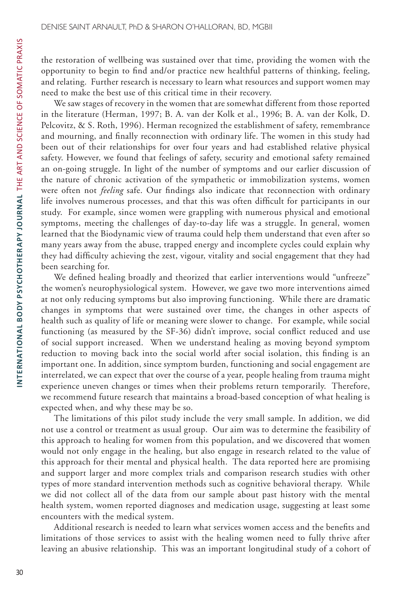the restoration of wellbeing was sustained over that time, providing the women with the opportunity to begin to find and/or practice new healthful patterns of thinking, feeling, and relating. Further research is necessary to learn what resources and support women may need to make the best use of this critical time in their recovery.

We saw stages of recovery in the women that are somewhat different from those reported in the literature (Herman, 1997; B. A. van der Kolk et al., 1996; B. A. van der Kolk, D. Pelcovitz, & S. Roth, 1996). Herman recognized the establishment of safety, remembrance and mourning, and finally reconnection with ordinary life. The women in this study had been out of their relationships for over four years and had established relative physical safety. However, we found that feelings of safety, security and emotional safety remained an on-going struggle. In light of the number of symptoms and our earlier discussion of the nature of chronic activation of the sympathetic or immobilization systems, women were often not *feeling* safe. Our findings also indicate that reconnection with ordinary life involves numerous processes, and that this was often difficult for participants in our study. For example, since women were grappling with numerous physical and emotional symptoms, meeting the challenges of day-to-day life was a struggle. In general, women learned that the Biodynamic view of trauma could help them understand that even after so many years away from the abuse, trapped energy and incomplete cycles could explain why they had difficulty achieving the zest, vigour, vitality and social engagement that they had been searching for.

We defined healing broadly and theorized that earlier interventions would "unfreeze" the women's neurophysiological system. However, we gave two more interventions aimed at not only reducing symptoms but also improving functioning. While there are dramatic changes in symptoms that were sustained over time, the changes in other aspects of health such as quality of life or meaning were slower to change. For example, while social functioning (as measured by the SF-36) didn't improve, social conflict reduced and use of social support increased. When we understand healing as moving beyond symptom reduction to moving back into the social world after social isolation, this finding is an important one. In addition, since symptom burden, functioning and social engagement are interrelated, we can expect that over the course of a year, people healing from trauma might experience uneven changes or times when their problems return temporarily. Therefore, we recommend future research that maintains a broad-based conception of what healing is expected when, and why these may be so.

The limitations of this pilot study include the very small sample. In addition, we did not use a control or treatment as usual group. Our aim was to determine the feasibility of this approach to healing for women from this population, and we discovered that women would not only engage in the healing, but also engage in research related to the value of this approach for their mental and physical health. The data reported here are promising and support larger and more complex trials and comparison research studies with other types of more standard intervention methods such as cognitive behavioral therapy. While we did not collect all of the data from our sample about past history with the mental health system, women reported diagnoses and medication usage, suggesting at least some encounters with the medical system.

Additional research is needed to learn what services women access and the benefits and limitations of those services to assist with the healing women need to fully thrive after leaving an abusive relationship. This was an important longitudinal study of a cohort of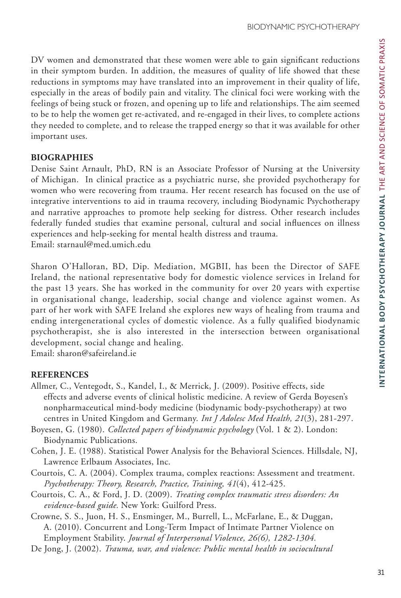DV women and demonstrated that these women were able to gain significant reductions in their symptom burden. In addition, the measures of quality of life showed that these reductions in symptoms may have translated into an improvement in their quality of life, especially in the areas of bodily pain and vitality. The clinical foci were working with the feelings of being stuck or frozen, and opening up to life and relationships. The aim seemed to be to help the women get re-activated, and re-engaged in their lives, to complete actions they needed to complete, and to release the trapped energy so that it was available for other important uses.

#### **BIOGRAPHIES**

Denise Saint Arnault, PhD, RN is an Associate Professor of Nursing at the University of Michigan. In clinical practice as a psychiatric nurse, she provided psychotherapy for women who were recovering from trauma. Her recent research has focused on the use of integrative interventions to aid in trauma recovery, including Biodynamic Psychotherapy and narrative approaches to promote help seeking for distress. Other research includes federally funded studies that examine personal, cultural and social influences on illness experiences and help-seeking for mental health distress and trauma. Email: starnaul@med.umich.edu

Sharon O'Halloran, BD, Dip. Mediation, MGBII, has been the Director of SAFE Ireland, the national representative body for domestic violence services in Ireland for the past 13 years. She has worked in the community for over 20 years with expertise in organisational change, leadership, social change and violence against women. As part of her work with SAFE Ireland she explores new ways of healing from trauma and ending intergenerational cycles of domestic violence. As a fully qualified biodynamic psychotherapist, she is also interested in the intersection between organisational development, social change and healing.

Email: sharon@safeireland.ie

## **REFERENCES**

- Allmer, C., Ventegodt, S., Kandel, I., & Merrick, J. (2009). Positive effects, side effects and adverse events of clinical holistic medicine. A review of Gerda Boyesen's nonpharmaceutical mind-body medicine (biodynamic body-psychotherapy) at two centres in United Kingdom and Germany. *Int J Adolesc Med Health, 21*(3), 281-297.
- Boyesen, G. (1980). *Collected papers of biodynamic psychology* (Vol. 1 & 2). London: Biodynamic Publications.
- Cohen, J. E. (1988). Statistical Power Analysis for the Behavioral Sciences. Hillsdale, NJ, Lawrence Erlbaum Associates, Inc.
- Courtois, C. A. (2004). Complex trauma, complex reactions: Assessment and treatment. *Psychotherapy: Theory, Research, Practice, Training, 41*(4), 412-425.
- Courtois, C. A., & Ford, J. D. (2009). *Treating complex traumatic stress disorders: An evidence-based guide.* New York: Guilford Press.
- Crowne, S. S., Juon, H. S., Ensminger, M., Burrell, L., McFarlane, E., & Duggan, A. (2010). Concurrent and Long-Term Impact of Intimate Partner Violence on Employment Stability. *Journal of Interpersonal Violence, 26(6), 1282-1304.*
- De Jong, J. (2002). *Trauma, war, and violence: Public mental health in sociocultural*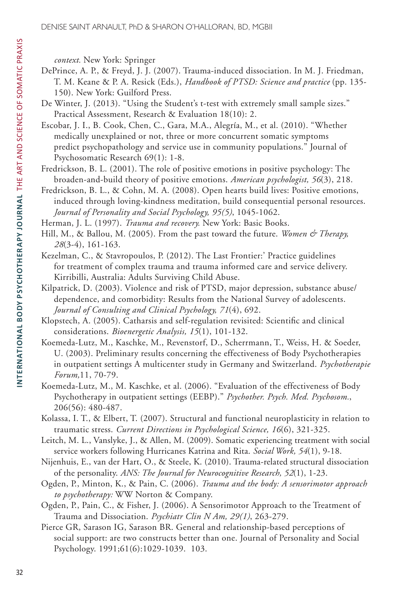*context.* New York: Springer

- DePrince, A. P., & Freyd, J. J. (2007). Trauma-induced dissociation. In M. J. Friedman, T. M. Keane & P. A. Resick (Eds.), *Handbook of PTSD: Science and practice* (pp. 135- 150). New York: Guilford Press.
- De Winter, J. (2013). "Using the Student's t-test with extremely small sample sizes." Practical Assessment, Research & Evaluation 18(10): 2.
- Escobar, J. I., B. Cook, Chen, C., Gara, M.A., Alegría, M., et al. (2010). "Whether medically unexplained or not, three or more concurrent somatic symptoms predict psychopathology and service use in community populations." Journal of Psychosomatic Research 69(1): 1-8.
- Fredrickson, B. L. (2001). The role of positive emotions in positive psychology: The broaden-and-build theory of positive emotions. *American psychologist, 56*(3), 218.
- Fredrickson, B. L., & Cohn, M. A. (2008). Open hearts build lives: Positive emotions, induced through loving-kindness meditation, build consequential personal resources. *Journal of Personality and Social Psychology, 95(5)*, 1045-1062.
- Herman, J. L. (1997). *Trauma and recovery.* New York: Basic Books.
- Hill, M., & Ballou, M. (2005). From the past toward the future. *Women & Therapy*, *28*(3-4), 161-163.
- Kezelman, C., & Stavropoulos, P. (2012). The Last Frontier:' Practice guidelines for treatment of complex trauma and trauma informed care and service delivery. Kirribilli, Australia: Adults Surviving Child Abuse.
- Kilpatrick, D. (2003). Violence and risk of PTSD, major depression, substance abuse/ dependence, and comorbidity: Results from the National Survey of adolescents. *Journal of Consulting and Clinical Psychology, 71*(4), 692.
- Klopstech, A. (2005). Catharsis and self-regulation revisited: Scientific and clinical considerations. *Bioenergetic Analysis, 15*(1), 101-132.
- Koemeda-Lutz, M., Kaschke, M., Revenstorf, D., Scherrmann, T., Weiss, H. & Soeder, U. (2003). Preliminary results concerning the effectiveness of Body Psychotherapies in outpatient settings A multicenter study in Germany and Switzerland. *Psychotherapie Forum,*11, 70-79.
- Koemeda-Lutz, M., M. Kaschke, et al. (2006). "Evaluation of the effectiveness of Body Psychotherapy in outpatient settings (EEBP)." *Psychother. Psych. Med. Psychosom.*, 206(56): 480-487.
- Kolassa, I. T., & Elbert, T. (2007). Structural and functional neuroplasticity in relation to traumatic stress. *Current Directions in Psychological Science, 16*(6), 321-325.
- Leitch, M. L., Vanslyke, J., & Allen, M. (2009). Somatic experiencing treatment with social service workers following Hurricanes Katrina and Rita. *Social Work, 54*(1), 9-18.
- Nijenhuis, E., van der Hart, O., & Steele, K. (2010). Trauma-related structural dissociation of the personality. *ANS: The Journal for Neurocognitive Research, 52*(1), 1-23.
- Ogden, P., Minton, K., & Pain, C. (2006). *Trauma and the body: A sensorimotor approach to psychotherapy:* WW Norton & Company.
- Ogden, P., Pain, C., & Fisher, J. (2006). A Sensorimotor Approach to the Treatment of Trauma and Dissociation. *Psychiatr Clin N Am, 29(1)*, 263-279.
- Pierce GR, Sarason IG, Sarason BR. General and relationship-based perceptions of social support: are two constructs better than one. Journal of Personality and Social Psychology. 1991;61(6):1029-1039. 103.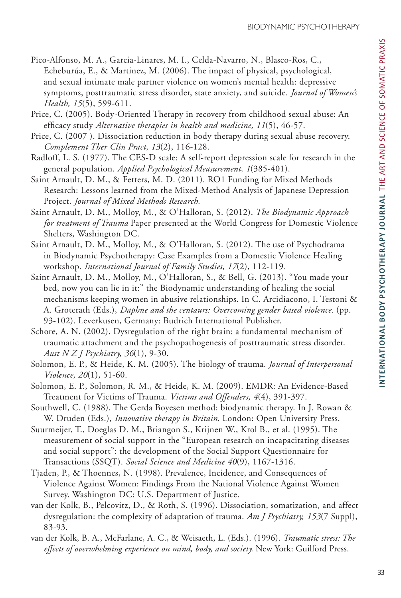- Pico-Alfonso, M. A., Garcia-Linares, M. I., Celda-Navarro, N., Blasco-Ros, C., Echeburúa, E., & Martinez, M. (2006). The impact of physical, psychological, and sexual intimate male partner violence on women's mental health: depressive symptoms, posttraumatic stress disorder, state anxiety, and suicide. *Journal of Women's Health, 15*(5), 599-611.
- Price, C. (2005). Body-Oriented Therapy in recovery from childhood sexual abuse: An efficacy study *Alternative therapies in health and medicine, 11*(5), 46-57.
- Price, C. (2007 ). Dissociation reduction in body therapy during sexual abuse recovery. *Complement Ther Clin Pract, 13*(2), 116-128.
- Radloff, L. S. (1977). The CES-D scale: A self-report depression scale for research in the general population. *Applied Psychological Measurement, 1*(385-401).
- Saint Arnault, D. M., & Fetters, M. D. (2011). RO1 Funding for Mixed Methods Research: Lessons learned from the Mixed-Method Analysis of Japanese Depression Project. *Journal of Mixed Methods Research.*
- Saint Arnault, D. M., Molloy, M., & O'Halloran, S. (2012). *The Biodynamic Approach for treatment of Trauma* Paper presented at the World Congress for Domestic Violence Shelters, Washington DC.
- Saint Arnault, D. M., Molloy, M., & O'Halloran, S. (2012). The use of Psychodrama in Biodynamic Psychotherapy: Case Examples from a Domestic Violence Healing workshop. *International Journal of Family Studies, 17*(2), 112-119.
- Saint Arnault, D. M., Molloy, M., O'Halloran, S., & Bell, G. (2013). "You made your bed, now you can lie in it:" the Biodynamic understanding of healing the social mechanisms keeping women in abusive relationships. In C. Arcidiacono, I. Testoni & A. Groterath (Eds.), *Daphne and the centaurs: Overcoming gender based violence.* (pp. 93-102). Leverkusen, Germany: Budrich International Publisher.
- Schore, A. N. (2002). Dysregulation of the right brain: a fundamental mechanism of traumatic attachment and the psychopathogenesis of posttraumatic stress disorder. *Aust N Z J Psychiatry, 36*(1), 9-30.
- Solomon, E. P., & Heide, K. M. (2005). The biology of trauma. *Journal of Interpersonal Violence, 20*(1), 51-60.
- Solomon, E. P., Solomon, R. M., & Heide, K. M. (2009). EMDR: An Evidence-Based Treatment for Victims of Trauma. *Victims and Offenders, 4*(4), 391-397.
- Southwell, C. (1988). The Gerda Boyesen method: biodynamic therapy. In J. Rowan & W. Druden (Eds.), *Innovative therapy in Britain.* London: Open University Press.
- Suurmeijer, T., Doeglas D. M., Briangon S., Krijnen W., Krol B., et al. (1995). The measurement of social support in the "European research on incapacitating diseases and social support": the development of the Social Support Questionnaire for Transactions (SSQT). *Social Science and Medicine 40*(9), 1167-1316.
- Tjaden, P., & Thoennes, N. (1998). Prevalence, Incidence, and Consequences of Violence Against Women: Findings From the National Violence Against Women Survey. Washington DC: U.S. Department of Justice.
- van der Kolk, B., Pelcovitz, D., & Roth, S. (1996). Dissociation, somatization, and affect dysregulation: the complexity of adaptation of trauma. *Am J Psychiatry, 153*(7 Suppl), 83-93.
- van der Kolk, B. A., McFarlane, A. C., & Weisaeth, L. (Eds.). (1996). *Traumatic stress: The effects of overwhelming experience on mind, body, and society.* New York: Guilford Press.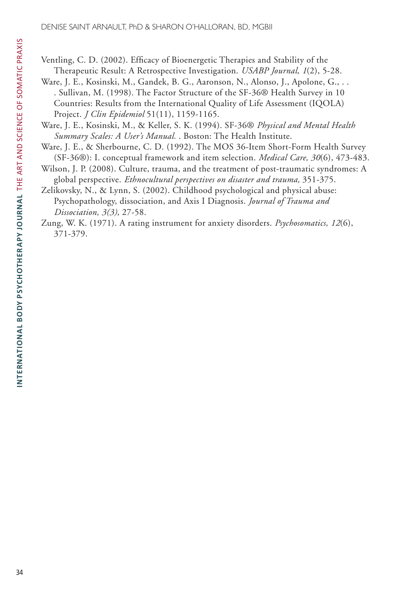Ventling, C. D. (2002). Efficacy of Bioenergetic Therapies and Stability of the Therapeutic Result: A Retrospective Investigation. *USABP Journal, 1*(2), 5-28.

- Ware, J. E., Kosinski, M., Gandek, B. G., Aaronson, N., Alonso, J., Apolone, G., . . . Sullivan, M. (1998). The Factor Structure of the SF-36® Health Survey in 10 Countries: Results from the International Quality of Life Assessment (IQOLA) Project. *J Clin Epidemiol* 51(11), 1159-1165.
- Ware, J. E., Kosinski, M., & Keller, S. K. (1994). SF-36® *Physical and Mental Health Summary Scales: A User's Manual.* . Boston: The Health Institute.
- Ware, J. E., & Sherbourne, C. D. (1992). The MOS 36-Item Short-Form Health Survey (SF-36®): I. conceptual framework and item selection. *Medical Care, 30*(6), 473-483.
- Wilson, J. P. (2008). Culture, trauma, and the treatment of post-traumatic syndromes: A global perspective. *Ethnocultural perspectives on disaster and trauma,* 351-375.
- Zelikovsky, N., & Lynn, S. (2002). Childhood psychological and physical abuse: Psychopathology, dissociation, and Axis I Diagnosis. *Journal of Trauma and Dissociation, 3(3)*, 27-58.
- Zung, W. K. (1971). A rating instrument for anxiety disorders. *Psychosomatics, 12*(6), 371-379.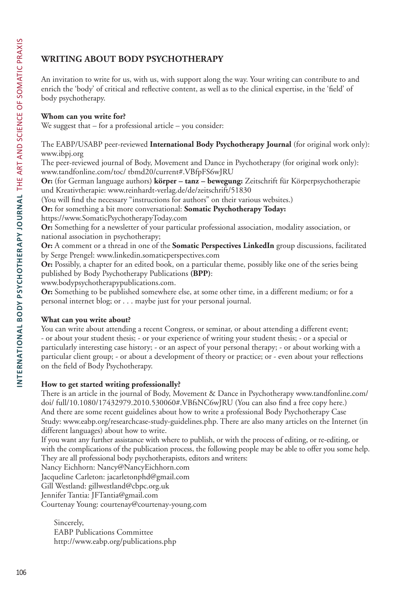# **WRITING ABOUT BODY PSYCHOTHERAPY**

An invitation to write for us, with us, with support along the way. Your writing can contribute to and enrich the 'body' of critical and reflective content, as well as to the clinical expertise, in the 'field' of body psychotherapy.

## **Whom can you write for?**

We suggest that – for a professional article – you consider:

The EABP/USABP peer-reviewed **International Body Psychotherapy Journal** (for original work only): www.ibpj.org

The peer-reviewed journal of Body, Movement and Dance in Psychotherapy (for original work only): www.tandfonline.com/toc/ tbmd20/current#.VBfpFS6wJRU

**Or:** (for German language authors) **körper – tanz – bewegung:** Zeitschrift für Körperpsychotherapie und Kreativtherapie: www.reinhardt-verlag.de/de/zeitschrift/51830

(You will find the necessary "instructions for authors" on their various websites.)

**Or:** for something a bit more conversational: **Somatic Psychotherapy Today:**

https://www.SomaticPsychotherapyToday.com

**Or:** Something for a newsletter of your particular professional association, modality association, or national association in psychotherapy;

**Or:** A comment or a thread in one of the **Somatic Perspectives LinkedIn** group discussions, facilitated by Serge Prengel: www.linkedin.somaticperspectives.com

**Or:** Possibly, a chapter for an edited book, on a particular theme, possibly like one of the series being published by Body Psychotherapy Publications **(BPP)**:

www.bodypsychotherapypublications.com.

**Or:** Something to be published somewhere else, at some other time, in a different medium; or for a personal internet blog; or . . . maybe just for your personal journal.

#### **What can you write about?**

You can write about attending a recent Congress, or seminar, or about attending a different event; - or about your student thesis; - or your experience of writing your student thesis; - or a special or particularly interesting case history; - or an aspect of your personal therapy; - or about working with a particular client group; - or about a development of theory or practice; or - even about your reflections on the field of Body Psychotherapy.

# **How to get started writing professionally?**

There is an article in the journal of Body, Movement & Dance in Psychotherapy www.tandfonline.com/ doi/ full/10.1080/17432979.2010.530060#.VBfsNC6wJRU (You can also find a free copy here.) And there are some recent guidelines about how to write a professional Body Psychotherapy Case Study: www.eabp.org/researchcase-study-guidelines.php. There are also many articles on the Internet (in different languages) about how to write.

If you want any further assistance with where to publish, or with the process of editing, or re-editing, or with the complications of the publication process, the following people may be able to offer you some help. They are all professional body psychotherapists, editors and writers:

Nancy Eichhorn: Nancy@NancyEichhorn.com

Jacqueline Carleton: jacarletonphd@gmail.com

Gill Westland: gillwestland@cbpc.org.uk

Jennifer Tantia: JFTantia@gmail.com

Courtenay Young: courtenay@courtenay-young.com

Sincerely, EABP Publications Committee http://www.eabp.org/publications.php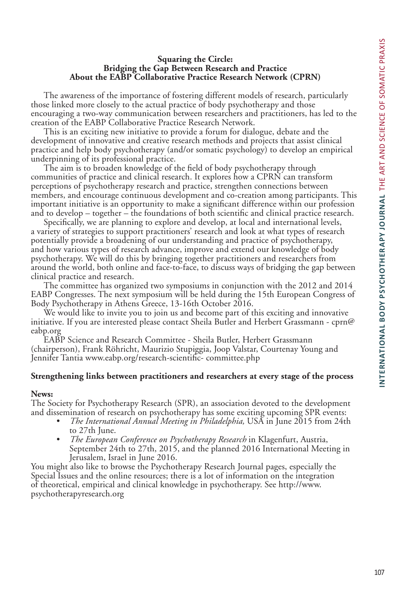#### **Squaring the Circle: Bridging the Gap Between Research and Practice About the EABP Collaborative Practice Research Network (CPRN)**

The awareness of the importance of fostering different models of research, particularly those linked more closely to the actual practice of body psychotherapy and those encouraging a two-way communication between researchers and practitioners, has led to the creation of the EABP Collaborative Practice Research Network.

This is an exciting new initiative to provide a forum for dialogue, debate and the development of innovative and creative research methods and projects that assist clinical practice and help body psychotherapy (and/or somatic psychology) to develop an empirical underpinning of its professional practice.

The aim is to broaden knowledge of the field of body psychotherapy through communities of practice and clinical research. It explores how a CPRN can transform perceptions of psychotherapy research and practice, strengthen connections between members, and encourage continuous development and co-creation among participants. This important initiative is an opportunity to make a significant difference within our profession and to develop – together – the foundations of both scientific and clinical practice research.

Specifically, we are planning to explore and develop, at local and international levels, a variety of strategies to support practitioners' research and look at what types of research potentially provide a broadening of our understanding and practice of psychotherapy, and how various types of research advance, improve and extend our knowledge of body psychotherapy. We will do this by bringing together practitioners and researchers from around the world, both online and face-to-face, to discuss ways of bridging the gap between clinical practice and research.

The committee has organized two symposiums in conjunction with the 2012 and 2014 EABP Congresses. The next symposium will be held during the 15th European Congress of Body Psychotherapy in Athens Greece, 13-16th October 2016.

We would like to invite you to join us and become part of this exciting and innovative initiative. If you are interested please contact Sheila Butler and Herbert Grassmann - cprn@ eabp.org

EABP Science and Research Committee - Sheila Butler, Herbert Grassmann (chairperson), Frank Röhricht, Maurizio Stupiggia, Joop Valstar, Courtenay Young and Jennifer Tantia www.eabp.org/research-scientific- committee.php

#### **Strengthening links between practitioners and researchers at every stage of the process**

#### **News:**

The Society for Psychotherapy Research (SPR), an association devoted to the development

- and dissemination of research on psychotherapy has some exciting upcoming SPR events:<br>
 *The International Annual Meeting in Philadelphia*, USA in June 2015 from 24th<br>
to 27th June.
	- The European Conference on Psychotherapy Research in Klagenfurt, Austria, September 24th to 27th, 2015, and the planned 2016 International Meeting in Jerusalem, Israel in June 2016.

You might also like to browse the Psychotherapy Research Journal pages, especially the Special Issues and the online resources; there is a lot of information on the integration of theoretical, empirical and clinical knowledge in psychotherapy. See http://www. psychotherapyresearch.org